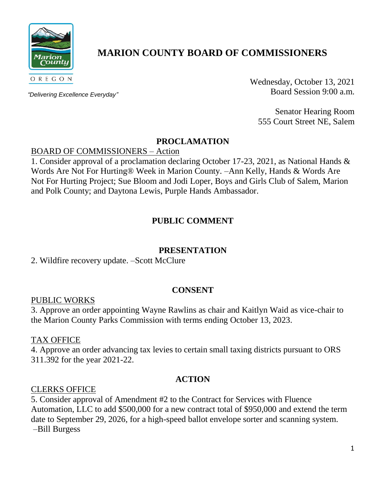

# **MARION COUNTY BOARD OF COMMISSIONERS**

*"Delivering Excellence Everyday"*

Wednesday, October 13, 2021 Board Session 9:00 a.m.

Senator Hearing Room 555 Court Street NE, Salem

## **PROCLAMATION**

### BOARD OF COMMISSIONERS – Action

1. Consider approval of a proclamation declaring October 17-23, 2021, as National Hands & Words Are Not For Hurting® Week in Marion County. –Ann Kelly, Hands & Words Are Not For Hurting Project; Sue Bloom and Jodi Loper, Boys and Girls Club of Salem, Marion and Polk County; and Daytona Lewis, Purple Hands Ambassador.

# **PUBLIC COMMENT**

## **PRESENTATION**

## 2. Wildfire recovery update. –Scott McClure

#### **CONSENT**

#### PUBLIC WORKS

3. Approve an order appointing Wayne Rawlins as chair and Kaitlyn Waid as vice-chair to the Marion County Parks Commission with terms ending October 13, 2023.

#### TAX OFFICE

4. Approve an order advancing tax levies to certain small taxing districts pursuant to ORS 311.392 for the year 2021-22.

#### **ACTION**

#### CLERKS OFFICE

5. Consider approval of Amendment #2 to the Contract for Services with Fluence Automation, LLC to add \$500,000 for a new contract total of \$950,000 and extend the term date to September 29, 2026, for a high-speed ballot envelope sorter and scanning system. –Bill Burgess